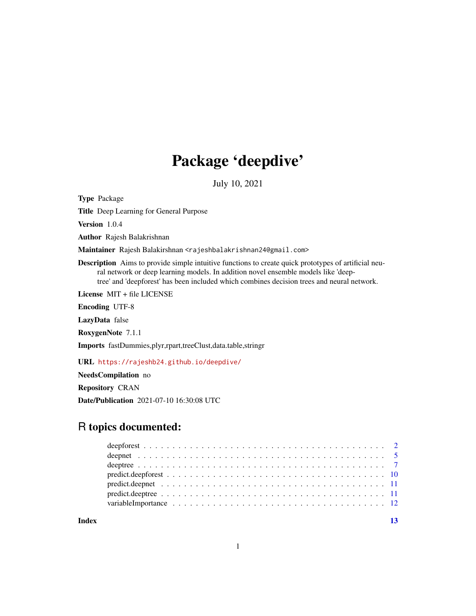# Package 'deepdive'

July 10, 2021

<span id="page-0-0"></span>Type Package

Title Deep Learning for General Purpose

Version 1.0.4

Author Rajesh Balakrishnan

Maintainer Rajesh Balakirshnan <rajeshbalakrishnan24@gmail.com>

Description Aims to provide simple intuitive functions to create quick prototypes of artificial neural network or deep learning models. In addition novel ensemble models like 'deeptree' and 'deepforest' has been included which combines decision trees and neural network.

License MIT + file LICENSE

Encoding UTF-8

LazyData false

RoxygenNote 7.1.1

Imports fastDummies,plyr,rpart,treeClust,data.table,stringr

URL <https://rajeshb24.github.io/deepdive/>

NeedsCompilation no

Repository CRAN

Date/Publication 2021-07-10 16:30:08 UTC

# R topics documented:

**Index** [13](#page-12-0)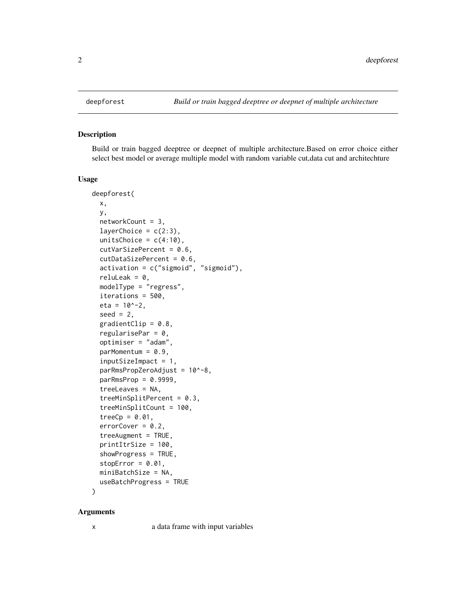<span id="page-1-0"></span>

#### Description

Build or train bagged deeptree or deepnet of multiple architecture.Based on error choice either select best model or average multiple model with random variable cut,data cut and architechture

#### Usage

```
deepforest(
 x,
 y,
  networkCount = 3,
  layerChoice = c(2:3),
 unitsChoice = c(4:10),
  cutVarSizePercent = 0.6,
  cutDataSizePercent = 0.6,
  activation = c("sigmoid", "sigmoid"),
  reluLeak = 0,modelType = "regress",
  iterations = 500,
  eta = 10^x - 2,
  seed = 2,
  gradientClip = 0.8,
  regularisePar = 0,
  optimiser = "adam",
  parMomentum = 0.9,inputSizeImpact = 1,
  parRmsPropZeroAdjust = 10^-8,
  parkmsProp = 0.9999,treeLeaves = NA,
  treeMinSplitPercent = 0.3,
  treeMinSplitCount = 100,
  treeCp = 0.01,
  errorCover = 0.2,treeAugment = TRUE,
 printItrSize = 100,
  showProgress = TRUE,
  stopError = 0.01,
 miniBatchSize = NA,
 useBatchProgress = TRUE
)
```
#### Arguments

x a data frame with input variables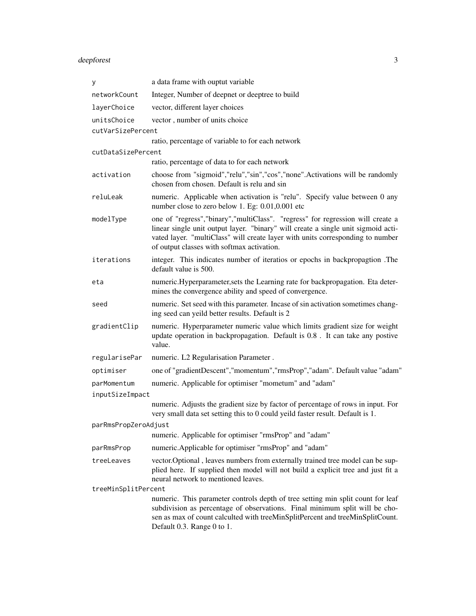# deepforest 3

| у                                | a data frame with ouptut variable                                                                                                                                                                                                                                                                     |  |
|----------------------------------|-------------------------------------------------------------------------------------------------------------------------------------------------------------------------------------------------------------------------------------------------------------------------------------------------------|--|
| networkCount                     | Integer, Number of deepnet or deeptree to build                                                                                                                                                                                                                                                       |  |
| layerChoice                      | vector, different layer choices                                                                                                                                                                                                                                                                       |  |
| unitsChoice<br>cutVarSizePercent | vector, number of units choice                                                                                                                                                                                                                                                                        |  |
|                                  | ratio, percentage of variable to for each network                                                                                                                                                                                                                                                     |  |
| cutDataSizePercent               |                                                                                                                                                                                                                                                                                                       |  |
|                                  | ratio, percentage of data to for each network                                                                                                                                                                                                                                                         |  |
| activation                       | choose from "sigmoid", "relu", "sin", "cos", "none". Activations will be randomly<br>chosen from chosen. Default is relu and sin                                                                                                                                                                      |  |
| reluLeak                         | numeric. Applicable when activation is "relu". Specify value between 0 any<br>number close to zero below 1. Eg: 0.01,0.001 etc                                                                                                                                                                        |  |
| modelType                        | one of "regress", "binary", "multiClass". "regress" for regression will create a<br>linear single unit output layer. "binary" will create a single unit sigmoid acti-<br>vated layer. "multiClass" will create layer with units corresponding to number<br>of output classes with softmax activation. |  |
| iterations                       | integer. This indicates number of iteratios or epochs in backpropagtion .The<br>default value is 500.                                                                                                                                                                                                 |  |
| eta                              | numeric.Hyperparameter, sets the Learning rate for backpropagation. Eta deter-<br>mines the convergence ability and speed of convergence.                                                                                                                                                             |  |
| seed                             | numeric. Set seed with this parameter. Incase of sin activation sometimes chang-<br>ing seed can yeild better results. Default is 2                                                                                                                                                                   |  |
| gradientClip                     | numeric. Hyperparameter numeric value which limits gradient size for weight<br>update operation in backpropagation. Default is 0.8. It can take any postive<br>value.                                                                                                                                 |  |
| regularisePar                    | numeric. L2 Regularisation Parameter.                                                                                                                                                                                                                                                                 |  |
| optimiser                        | one of "gradientDescent", "momentum", "rmsProp", "adam". Default value "adam"                                                                                                                                                                                                                         |  |
| parMomentum                      | numeric. Applicable for optimiser "mometum" and "adam"                                                                                                                                                                                                                                                |  |
| inputSizeImpact                  |                                                                                                                                                                                                                                                                                                       |  |
|                                  | numeric. Adjusts the gradient size by factor of percentage of rows in input. For<br>very small data set setting this to 0 could yeild faster result. Default is 1.                                                                                                                                    |  |
| parRmsPropZeroAdjust             |                                                                                                                                                                                                                                                                                                       |  |
|                                  | numeric. Applicable for optimiser "rmsProp" and "adam"                                                                                                                                                                                                                                                |  |
| parRmsProp                       | numeric.Applicable for optimiser "rmsProp" and "adam"                                                                                                                                                                                                                                                 |  |
| treeLeaves                       | vector. Optional, leaves numbers from externally trained tree model can be sup-<br>plied here. If supplied then model will not build a explicit tree and just fit a<br>neural network to mentioned leaves.                                                                                            |  |
| treeMinSplitPercent              |                                                                                                                                                                                                                                                                                                       |  |
|                                  | numeric. This parameter controls depth of tree setting min split count for leaf<br>subdivision as percentage of observations. Final minimum split will be cho-<br>sen as max of count calculted with treeMinSplitPercent and treeMinSplitCount.<br>Default 0.3. Range 0 to 1.                         |  |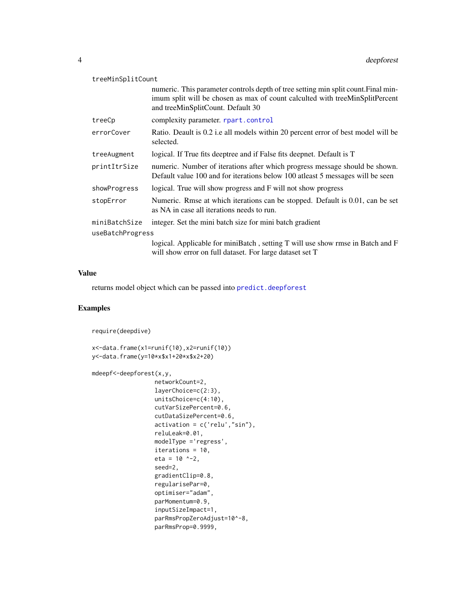<span id="page-3-0"></span>

| treeMinSplitCount |                                                                                                                                                                                                         |
|-------------------|---------------------------------------------------------------------------------------------------------------------------------------------------------------------------------------------------------|
|                   | numeric. This parameter controls depth of tree setting min split count. Final min-<br>imum split will be chosen as max of count calculted with treeMinSplitPercent<br>and treeMinSplitCount. Default 30 |
| treeCp            | complexity parameter. rpart.control                                                                                                                                                                     |
| errorCover        | Ratio. Deault is 0.2 i.e all models within 20 percent error of best model will be<br>selected.                                                                                                          |
| treeAugment       | logical. If True fits deeptree and if False fits deepnet. Default is T                                                                                                                                  |
| printItrSize      | numeric. Number of iterations after which progress message should be shown.<br>Default value 100 and for iterations below 100 atleast 5 messages will be seen                                           |
| showProgress      | logical. True will show progress and F will not show progress                                                                                                                                           |
| stopError         | Numeric. Rmse at which iterations can be stopped. Default is 0.01, can be set<br>as NA in case all iterations needs to run.                                                                             |
| miniBatchSize     | integer. Set the mini batch size for mini batch gradient                                                                                                                                                |
| useBatchProgress  |                                                                                                                                                                                                         |
|                   | logical. Applicable for miniBatch, setting T will use show rmse in Batch and F<br>will show error on full dataset. For large dataset set T                                                              |

#### Value

returns model object which can be passed into [predict.deepforest](#page-9-1)

#### Examples

```
require(deepdive)
x<-data.frame(x1=runif(10),x2=runif(10))
y<-data.frame(y=10*x$x1+20*x$x2+20)
mdeepf<-deepforest(x,y,
                  networkCount=2,
                  layerChoice=c(2:3),
                  unitsChoice=c(4:10),
                  cutVarSizePercent=0.6,
                  cutDataSizePercent=0.6,
                  activation = c('relu',"sin"),
                  reluLeak=0.01,
                  modelType ='regress',
                  iterations = 10,
                  eta = 10 ^-2,
                  seed=2,
                  gradientClip=0.8,
                  regularisePar=0,
                  optimiser="adam",
                  parMomentum=0.9,
                  inputSizeImpact=1,
                  parRmsPropZeroAdjust=10^-8,
                  parRmsProp=0.9999,
```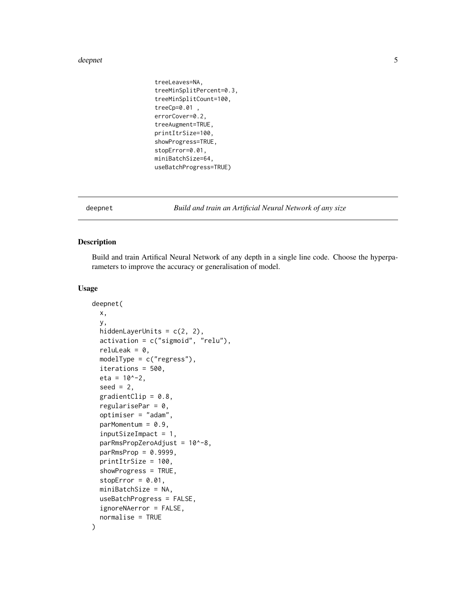#### <span id="page-4-0"></span>deepnet 5

```
treeLeaves=NA,
treeMinSplitPercent=0.3,
treeMinSplitCount=100,
treeCp=0.01 ,
errorCover=0.2,
treeAugment=TRUE,
printItrSize=100,
showProgress=TRUE,
stopError=0.01,
miniBatchSize=64,
useBatchProgress=TRUE)
```
#### Description

Build and train Artifical Neural Network of any depth in a single line code. Choose the hyperparameters to improve the accuracy or generalisation of model.

#### Usage

```
deepnet(
 x,
 y,
 hiddenLayerUnits = c(2, 2),
  activation = c("sigmoid", "relu"),
  reluLeak = 0,
  modelType = c("regress"),
  iterations = 500,
  eta = 10^{\circ}-2,
  seed = 2,
  gradientClip = 0.8,
  regularisePar = 0,
  optimiser = "adam",
  parMomentum = 0.9,
  inputSizeImpact = 1,
  parRmsPropZeroAddingust = 10^8-8,parkmsProp = 0.9999,printItrSize = 100,
  showProgress = TRUE,
  stopError = 0.01,
 miniBatchSize = NA,
  useBatchProgress = FALSE,
  ignoreNAerror = FALSE,
  normalise = TRUE
```
deepnet *Build and train an Artificial Neural Network of any size*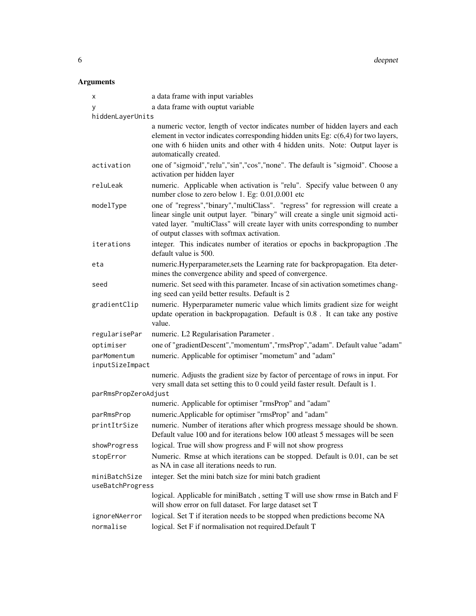6 deepnet to the control of the control of the control of the control of the control of the control of the control of the control of the control of the control of the control of the control of the control of the control of

| х                              | a data frame with input variables                                                                                                                                                                                                                                                                     |
|--------------------------------|-------------------------------------------------------------------------------------------------------------------------------------------------------------------------------------------------------------------------------------------------------------------------------------------------------|
| У                              | a data frame with ouptut variable                                                                                                                                                                                                                                                                     |
| hiddenLayerUnits               |                                                                                                                                                                                                                                                                                                       |
|                                | a numeric vector, length of vector indicates number of hidden layers and each<br>element in vector indicates corresponding hidden units Eg: $c(6,4)$ for two layers,<br>one with 6 hilden units and other with 4 hidden units. Note: Output layer is<br>automatically created.                        |
| activation                     | one of "sigmoid","relu","sin","cos","none". The default is "sigmoid". Choose a<br>activation per hidden layer                                                                                                                                                                                         |
| reluLeak                       | numeric. Applicable when activation is "relu". Specify value between 0 any<br>number close to zero below 1. Eg: 0.01,0.001 etc                                                                                                                                                                        |
| modelType                      | one of "regress", "binary", "multiClass". "regress" for regression will create a<br>linear single unit output layer. "binary" will create a single unit sigmoid acti-<br>vated layer. "multiClass" will create layer with units corresponding to number<br>of output classes with softmax activation. |
| iterations                     | integer. This indicates number of iteratios or epochs in backpropagtion .The<br>default value is 500.                                                                                                                                                                                                 |
| eta                            | numeric.Hyperparameter, sets the Learning rate for backpropagation. Eta deter-<br>mines the convergence ability and speed of convergence.                                                                                                                                                             |
| seed                           | numeric. Set seed with this parameter. Incase of sin activation sometimes chang-<br>ing seed can yeild better results. Default is 2                                                                                                                                                                   |
| gradientClip                   | numeric. Hyperparameter numeric value which limits gradient size for weight<br>update operation in backpropagation. Default is 0.8. It can take any postive<br>value.                                                                                                                                 |
| regularisePar                  | numeric. L2 Regularisation Parameter.                                                                                                                                                                                                                                                                 |
| optimiser                      | one of "gradientDescent", "momentum", "rmsProp", "adam". Default value "adam"                                                                                                                                                                                                                         |
| parMomentum<br>inputSizeImpact | numeric. Applicable for optimiser "mometum" and "adam"                                                                                                                                                                                                                                                |
|                                | numeric. Adjusts the gradient size by factor of percentage of rows in input. For<br>very small data set setting this to 0 could yeild faster result. Default is 1.                                                                                                                                    |
| parRmsPropZeroAdjust           |                                                                                                                                                                                                                                                                                                       |
|                                | numeric. Applicable for optimiser "rmsProp" and "adam"                                                                                                                                                                                                                                                |
| parRmsProp                     | numeric.Applicable for optimiser "rmsProp" and "adam"                                                                                                                                                                                                                                                 |
| printItrSize                   | numeric. Number of iterations after which progress message should be shown.<br>Default value 100 and for iterations below 100 atleast 5 messages will be seen                                                                                                                                         |
| showProgress                   | logical. True will show progress and F will not show progress                                                                                                                                                                                                                                         |
| stopError                      | Numeric. Rmse at which iterations can be stopped. Default is 0.01, can be set<br>as NA in case all iterations needs to run.                                                                                                                                                                           |
| miniBatchSize                  | integer. Set the mini batch size for mini batch gradient                                                                                                                                                                                                                                              |
| useBatchProgress               |                                                                                                                                                                                                                                                                                                       |
|                                | logical. Applicable for miniBatch, setting T will use show rmse in Batch and F<br>will show error on full dataset. For large dataset set T                                                                                                                                                            |
| ignoreNAerror                  | logical. Set T if iteration needs to be stopped when predictions become NA                                                                                                                                                                                                                            |
| normalise                      | logical. Set F if normalisation not required. Default T                                                                                                                                                                                                                                               |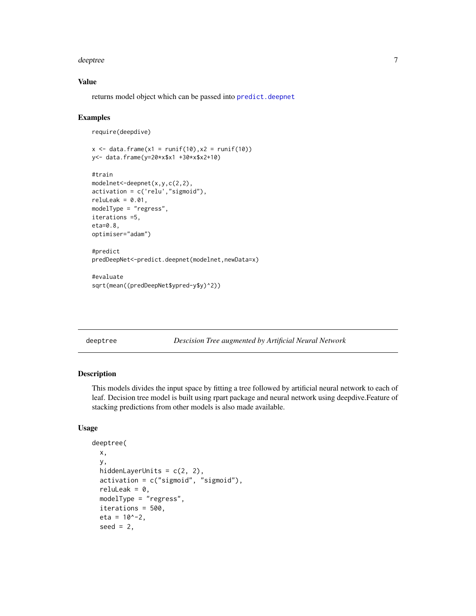#### <span id="page-6-0"></span>deeptree to a state of the state of the state of the state of the state of the state of the state of the state of the state of the state of the state of the state of the state of the state of the state of the state of the

#### Value

returns model object which can be passed into [predict.deepnet](#page-10-1)

#### Examples

```
require(deepdive)
```

```
x \le - data.frame(x1 = runif(10), x2 = runif(10))
y<- data.frame(y=20*x$x1 +30*x$x2+10)
```

```
#train
modelnet<-deepnet(x,y,c(2,2),
activation = c('relu',"sigmoid"),
reluLeak = 0.01,
modelType = "regress",
iterations =5,
eta=0.8,
optimiser="adam")
#predict
```

```
predDeepNet<-predict.deepnet(modelnet,newData=x)
```

```
#evaluate
sqrt(mean((predDeepNet$ypred-y$y)^2))
```
#### deeptree *Descision Tree augmented by Artificial Neural Network*

#### Description

This models divides the input space by fitting a tree followed by artificial neural network to each of leaf. Decision tree model is built using rpart package and neural network using deepdive.Feature of stacking predictions from other models is also made available.

#### Usage

```
deeptree(
 x,
  y,
 hiddenLayerUnits = c(2, 2),
  activation = c("sigmoid", "sigmoid"),
  reluLeak = 0,
 modelType = "regress",
  iterations = 500,
  eta = 10^{\circ}-2,
  seed = 2,
```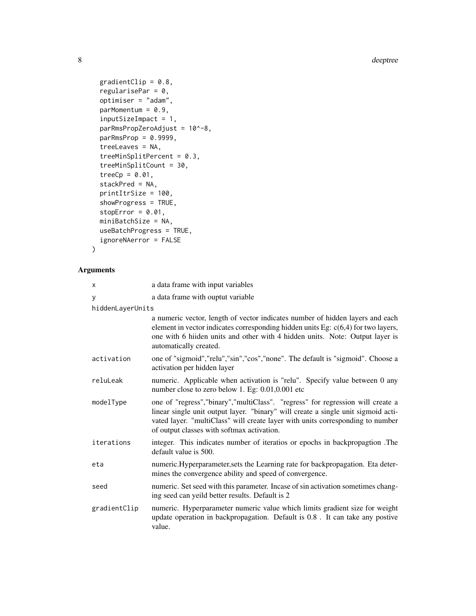8 deeptree

```
gradientClip = 0.8,
  regularisePar = 0,
 optimiser = "adam",
 parMomentum = 0.9,inputSizeImpact = 1,
  parRmsPropZeroAdjust = 10^-8,
 parkmsProp = 0.9999,treeLeaves = NA,
  treeMinSplitPercent = 0.3,
  treeMinSplitCount = 30,
  treeCp = 0.01,
  stackPred = NA,
 printItrSize = 100,
  showProgress = TRUE,
  stopError = 0.01,
 miniBatchSize = NA,
 useBatchProgress = TRUE,
  ignoreNAerror = FALSE
\mathcal{L}
```

| X                | a data frame with input variables                                                                                                                                                                                                                                                                     |
|------------------|-------------------------------------------------------------------------------------------------------------------------------------------------------------------------------------------------------------------------------------------------------------------------------------------------------|
| y                | a data frame with ouptut variable                                                                                                                                                                                                                                                                     |
| hiddenLayerUnits |                                                                                                                                                                                                                                                                                                       |
|                  | a numeric vector, length of vector indicates number of hidden layers and each<br>element in vector indicates corresponding hidden units Eg: $c(6,4)$ for two layers,<br>one with 6 hiiden units and other with 4 hidden units. Note: Output layer is<br>automatically created.                        |
| activation       | one of "sigmoid", "relu", "sin", "cos", "none". The default is "sigmoid". Choose a<br>activation per hidden layer                                                                                                                                                                                     |
| reluLeak         | numeric. Applicable when activation is "relu". Specify value between 0 any<br>number close to zero below 1. Eg: 0.01,0.001 etc                                                                                                                                                                        |
| modelType        | one of "regress", "binary", "multiClass". "regress" for regression will create a<br>linear single unit output layer. "binary" will create a single unit sigmoid acti-<br>vated layer. "multiClass" will create layer with units corresponding to number<br>of output classes with softmax activation. |
| iterations       | integer. This indicates number of iteratios or epochs in backpropagtion .The<br>default value is 500.                                                                                                                                                                                                 |
| eta              | numeric.Hyperparameter, sets the Learning rate for backpropagation. Eta deter-<br>mines the convergence ability and speed of convergence.                                                                                                                                                             |
| seed             | numeric. Set seed with this parameter. Incase of sin activation sometimes chang-<br>ing seed can yeild better results. Default is 2                                                                                                                                                                   |
| gradientClip     | numeric. Hyperparameter numeric value which limits gradient size for weight<br>update operation in backpropagation. Default is 0.8. It can take any postive<br>value.                                                                                                                                 |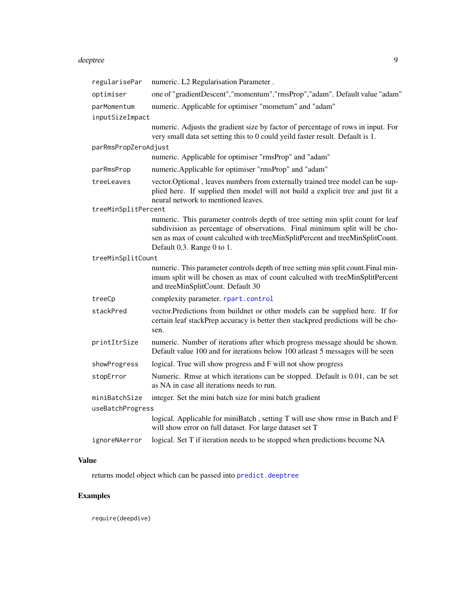#### <span id="page-8-0"></span>deeptree to the second state of the second state of the second state of the second state of the second state of the second state of the second state of the second state of the second state of the second state of the second

| regularisePar        | numeric. L2 Regularisation Parameter.                                                                                                                                                                                                                                         |
|----------------------|-------------------------------------------------------------------------------------------------------------------------------------------------------------------------------------------------------------------------------------------------------------------------------|
| optimiser            | one of "gradientDescent", "momentum", "rmsProp", "adam". Default value "adam"                                                                                                                                                                                                 |
| parMomentum          | numeric. Applicable for optimiser "mometum" and "adam"                                                                                                                                                                                                                        |
| inputSizeImpact      |                                                                                                                                                                                                                                                                               |
|                      | numeric. Adjusts the gradient size by factor of percentage of rows in input. For<br>very small data set setting this to 0 could yeild faster result. Default is 1.                                                                                                            |
| parRmsPropZeroAdjust |                                                                                                                                                                                                                                                                               |
|                      | numeric. Applicable for optimiser "rmsProp" and "adam"                                                                                                                                                                                                                        |
| parRmsProp           | numeric.Applicable for optimiser "rmsProp" and "adam"                                                                                                                                                                                                                         |
| treeLeaves           | vector. Optional, leaves numbers from externally trained tree model can be sup-<br>plied here. If supplied then model will not build a explicit tree and just fit a<br>neural network to mentioned leaves.                                                                    |
| treeMinSplitPercent  |                                                                                                                                                                                                                                                                               |
|                      | numeric. This parameter controls depth of tree setting min split count for leaf<br>subdivision as percentage of observations. Final minimum split will be cho-<br>sen as max of count calculted with treeMinSplitPercent and treeMinSplitCount.<br>Default 0.3. Range 0 to 1. |
| treeMinSplitCount    |                                                                                                                                                                                                                                                                               |
|                      | numeric. This parameter controls depth of tree setting min split count. Final min-<br>imum split will be chosen as max of count calculted with treeMinSplitPercent<br>and treeMinSplitCount. Default 30                                                                       |
| treeCp               | complexity parameter. rpart.control                                                                                                                                                                                                                                           |
| stackPred            | vector. Predictions from buildnet or other models can be supplied here. If for<br>certain leaf stackPrep accuracy is better then stackpred predictions will be cho-<br>sen.                                                                                                   |
| printItrSize         | numeric. Number of iterations after which progress message should be shown.<br>Default value 100 and for iterations below 100 atleast 5 messages will be seen                                                                                                                 |
| showProgress         | logical. True will show progress and F will not show progress                                                                                                                                                                                                                 |
| stopError            | Numeric. Rmse at which iterations can be stopped. Default is 0.01, can be set<br>as NA in case all iterations needs to run.                                                                                                                                                   |
| miniBatchSize        | integer. Set the mini batch size for mini batch gradient                                                                                                                                                                                                                      |
| useBatchProgress     |                                                                                                                                                                                                                                                                               |
|                      | logical. Applicable for miniBatch, setting T will use show rmse in Batch and F<br>will show error on full dataset. For large dataset set T                                                                                                                                    |
| ignoreNAerror        | logical. Set T if iteration needs to be stopped when predictions become NA                                                                                                                                                                                                    |
|                      |                                                                                                                                                                                                                                                                               |

### Value

returns model object which can be passed into [predict.deeptree](#page-10-2)

## Examples

require(deepdive)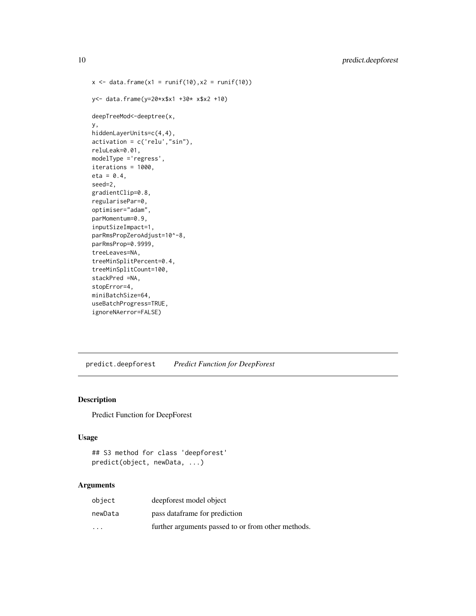```
x \le - data.frame(x1 = runif(10), x2 = runif(10))
y<- data.frame(y=20*x$x1 +30* x$x2 +10)
deepTreeMod<-deeptree(x,
y,
hiddenLayerUnits=c(4,4),
activation = c('relu',"sin"),
reluLeak=0.01,
modelType ='regress',
iterations = 1000,
eta = 0.4,
seed=2,
gradientClip=0.8,
regularisePar=0,
optimiser="adam",
parMomentum=0.9,
inputSizeImpact=1,
parRmsPropZeroAdjust=10^-8,
parRmsProp=0.9999,
treeLeaves=NA,
treeMinSplitPercent=0.4,
treeMinSplitCount=100,
stackPred =NA,
stopError=4,
miniBatchSize=64,
useBatchProgress=TRUE,
ignoreNAerror=FALSE)
```
<span id="page-9-1"></span>predict.deepforest *Predict Function for DeepForest*

#### Description

Predict Function for DeepForest

#### Usage

```
## S3 method for class 'deepforest'
predict(object, newData, ...)
```

| object                  | deepforest model object                            |
|-------------------------|----------------------------------------------------|
| newData                 | pass data frame for prediction                     |
| $\cdot$ $\cdot$ $\cdot$ | further arguments passed to or from other methods. |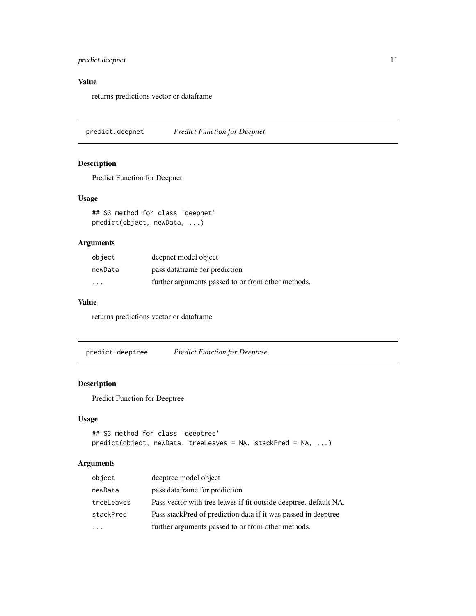#### <span id="page-10-0"></span>predict.deepnet 11

#### Value

returns predictions vector or dataframe

<span id="page-10-1"></span>predict.deepnet *Predict Function for Deepnet*

#### Description

Predict Function for Deepnet

#### Usage

## S3 method for class 'deepnet' predict(object, newData, ...)

#### Arguments

| object  | deepnet model object                               |
|---------|----------------------------------------------------|
| newData | pass data frame for prediction                     |
| $\cdot$ | further arguments passed to or from other methods. |

#### Value

returns predictions vector or dataframe

<span id="page-10-2"></span>predict.deeptree *Predict Function for Deeptree*

#### Description

Predict Function for Deeptree

#### Usage

```
## S3 method for class 'deeptree'
predict(object, newData, treeLeaves = NA, stackPred = NA, ...)
```

| object     | deeptree model object                                             |
|------------|-------------------------------------------------------------------|
| newData    | pass data frame for prediction                                    |
| treeLeaves | Pass vector with tree leaves if fit outside deeptree. default NA. |
| stackPred  | Pass stackPred of prediction data if it was passed in deeptree    |
|            | further arguments passed to or from other methods.                |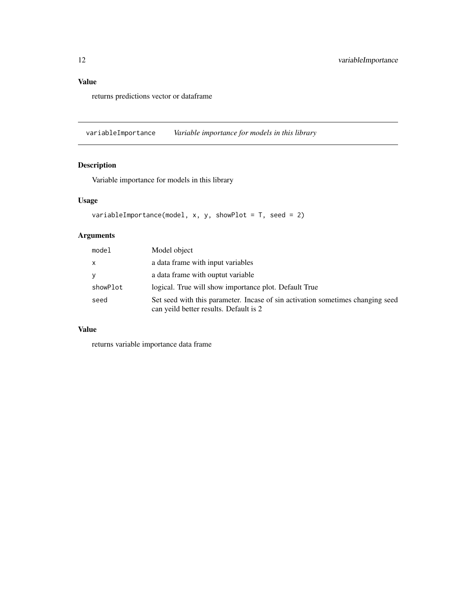#### <span id="page-11-0"></span>Value

returns predictions vector or dataframe

variableImportance *Variable importance for models in this library*

### Description

Variable importance for models in this library

#### Usage

```
variableImportance(model, x, y, showPlot = T, seed = 2)
```
### Arguments

| model    | Model object                                                                                                              |
|----------|---------------------------------------------------------------------------------------------------------------------------|
| X        | a data frame with input variables                                                                                         |
| y        | a data frame with ouptut variable                                                                                         |
| showPlot | logical. True will show importance plot. Default True                                                                     |
| seed     | Set seed with this parameter. In case of sin activation sometimes changing seed<br>can yeild better results. Default is 2 |

#### Value

returns variable importance data frame